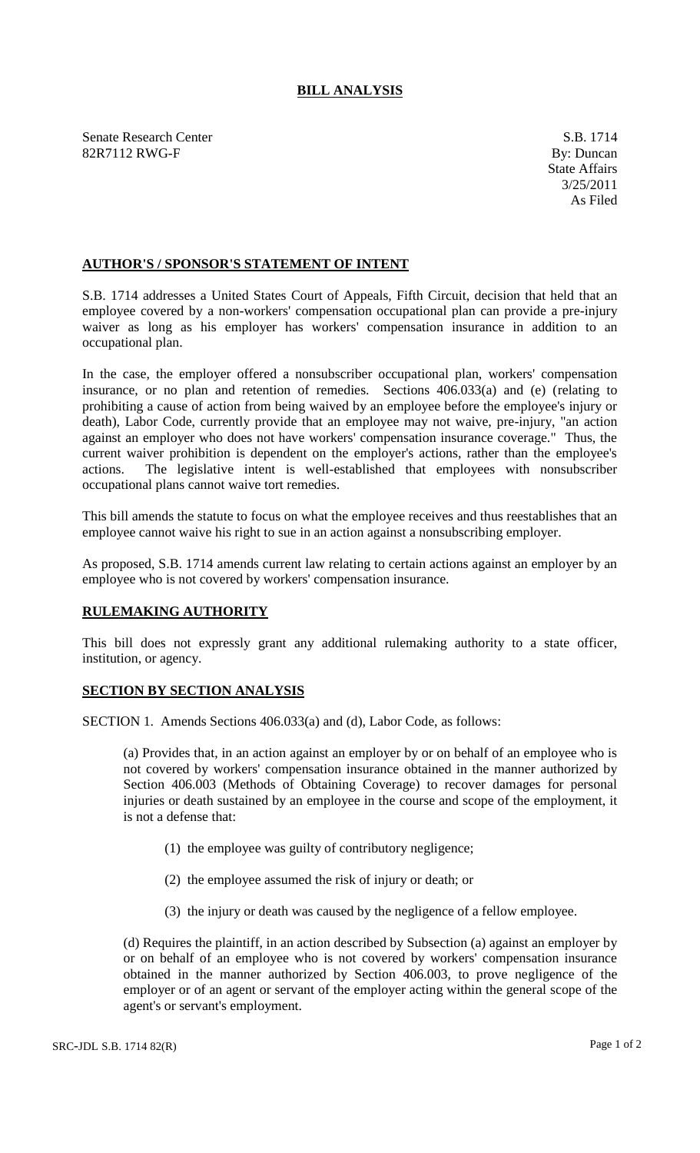## **BILL ANALYSIS**

Senate Research Center S.B. 1714 82R7112 RWG-F By: Duncan

## **AUTHOR'S / SPONSOR'S STATEMENT OF INTENT**

S.B. 1714 addresses a United States Court of Appeals, Fifth Circuit, decision that held that an employee covered by a non-workers' compensation occupational plan can provide a pre-injury waiver as long as his employer has workers' compensation insurance in addition to an occupational plan.

In the case, the employer offered a nonsubscriber occupational plan, workers' compensation insurance, or no plan and retention of remedies. Sections 406.033(a) and (e) (relating to prohibiting a cause of action from being waived by an employee before the employee's injury or death), Labor Code, currently provide that an employee may not waive, pre-injury, "an action against an employer who does not have workers' compensation insurance coverage." Thus, the current waiver prohibition is dependent on the employer's actions, rather than the employee's actions. The legislative intent is well-established that employees with nonsubscriber occupational plans cannot waive tort remedies.

This bill amends the statute to focus on what the employee receives and thus reestablishes that an employee cannot waive his right to sue in an action against a nonsubscribing employer.

As proposed, S.B. 1714 amends current law relating to certain actions against an employer by an employee who is not covered by workers' compensation insurance.

## **RULEMAKING AUTHORITY**

This bill does not expressly grant any additional rulemaking authority to a state officer, institution, or agency.

## **SECTION BY SECTION ANALYSIS**

SECTION 1. Amends Sections 406.033(a) and (d), Labor Code, as follows:

(a) Provides that, in an action against an employer by or on behalf of an employee who is not covered by workers' compensation insurance obtained in the manner authorized by Section 406.003 (Methods of Obtaining Coverage) to recover damages for personal injuries or death sustained by an employee in the course and scope of the employment, it is not a defense that:

- (1) the employee was guilty of contributory negligence;
- (2) the employee assumed the risk of injury or death; or
- (3) the injury or death was caused by the negligence of a fellow employee.

(d) Requires the plaintiff, in an action described by Subsection (a) against an employer by or on behalf of an employee who is not covered by workers' compensation insurance obtained in the manner authorized by Section 406.003, to prove negligence of the employer or of an agent or servant of the employer acting within the general scope of the agent's or servant's employment.